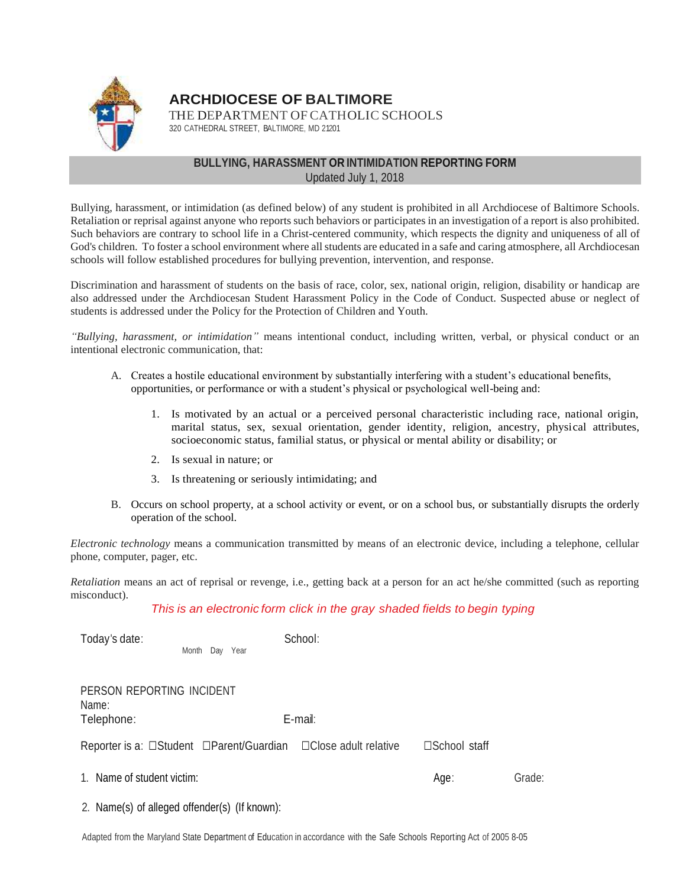

**ARCHDIOCESE OF BALTIMORE**

THE DEPARTMENT OF CATHOLIC SCHOOLS 320 CATHEDRAL STREET, BALTIMORE, MD 21201

## **BULLYING, HARASSMENT OR INTIMIDATION REPORTING FORM** Updated July 1, 2018

Bullying, harassment, or intimidation (as defined below) of any student is prohibited in all Archdiocese of Baltimore Schools. Retaliation or reprisal against anyone who reports such behaviors or participates in an investigation of a report is also prohibited. Such behaviors are contrary to school life in a Christ-centered community, which respects the dignity and uniqueness of all of God's children. To foster a school environment where all students are educated in a safe and caring atmosphere, all Archdiocesan schools will follow established procedures for bullying prevention, intervention, and response.

Discrimination and harassment of students on the basis of race, color, sex, national origin, religion, disability or handicap are also addressed under the Archdiocesan Student Harassment Policy in the Code of Conduct. Suspected abuse or neglect of students is addressed under the Policy for the Protection of Children and Youth.

*"Bullying, harassment, or intimidation"* means intentional conduct, including written, verbal, or physical conduct or an intentional electronic communication, that:

- A. Creates a hostile educational environment by substantially interfering with a student's educational benefits, opportunities, or performance or with a student's physical or psychological well-being and:
	- 1. Is motivated by an actual or a perceived personal characteristic including race, national origin, marital status, sex, sexual orientation, gender identity, religion, ancestry, physical attributes, socioeconomic status, familial status, or physical or mental ability or disability; or
	- 2. Is sexual in nature; or
	- 3. Is threatening or seriously intimidating; and
- B. Occurs on school property, at a school activity or event, or on a school bus, or substantially disrupts the orderly operation of the school.

*Electronic technology* means a communication transmitted by means of an electronic device, including a telephone, cellular phone, computer, pager, etc.

*Retaliation* means an act of reprisal or revenge, i.e., getting back at a person for an act he/she committed (such as reporting misconduct).

## *This is an electronic form click in the gray shaded fields to begin typing*

| Today's date:                                    | Day Year<br>Month | School:                                                        |               |        |
|--------------------------------------------------|-------------------|----------------------------------------------------------------|---------------|--------|
| PERSON REPORTING INCIDENT<br>Name:<br>Telephone: |                   | E-mail:                                                        |               |        |
|                                                  |                   | Reporter is a: □Student □Parent/Guardian □Close adult relative | □School staff |        |
| 1. Name of student victim:                       |                   |                                                                | Age:          | Grade: |

2. Name(s) of alleged offender(s) (If known):

Adapted from the Maryland State Department of Education in accordance with the Safe Schools Reporting Act of 2005 8-05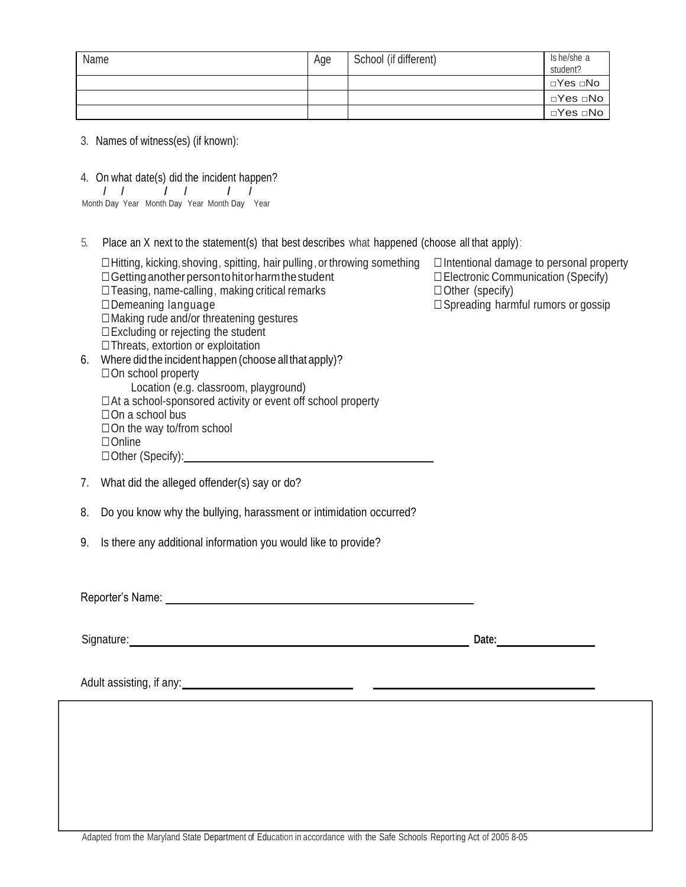| Name | Age | School (if different) | Is he/she a<br>student? |
|------|-----|-----------------------|-------------------------|
|      |     |                       | ⊡Yes ⊡No                |
|      |     |                       |                         |
|      |     |                       | ⊡Yes ⊡No I              |

- 3. Names of witness(es) (if known):
- 4. On what date(s) did the incident happen?

|  | Month Day Year Month Day Year Month Day Year |  |  |
|--|----------------------------------------------|--|--|

- 5. Place an X next to the statement(s) that best describes what happened (choose all that apply):
- □Hitting, kicking,shoving, spitting, hair pulling, or throwing something □Intentional damage to personal property □Gettinganother persontohitorharmthestudent □Electronic Communication (Specify)  $\square$  Teasing, name-calling, making critical remarks  $\square$  Other (specify) □Demeaning language □Spreading harmful rumors or gossip □Making rude and/or threatening gestures □Excluding or rejecting the student □Threats, extortion or exploitation 6. Where did the incident happen (choose allthat apply)? □On school property Location (e.g. classroom, playground)  $\Box$  At a school-sponsored activity or event off school property □On a school bus  $\square$  On the way to/from school □Online □Other (Specify):
- 7. What did the alleged offender(s) say or do?
- 8. Do you know why the bullying, harassment or intimidation occurred?
- 9. Is there any additional information you would like to provide?

Reporter's Name: We have a state of the state of the state of the state of the state of the state of the state of the state of the state of the state of the state of the state of the state of the state of the state of the

Signature: **Date:** Date: **Date:** Date: **Date:** Date: **Date:** Date: **Date:** Date: **Date:** Date: **Date:** Date: **Date:** Date: **Date:** Date: **Date:** Date: **Date:** Date: **Date:** Date: **Date:** Date: **Date:** Date: **Date:** Date:

Adult assisting, if any: